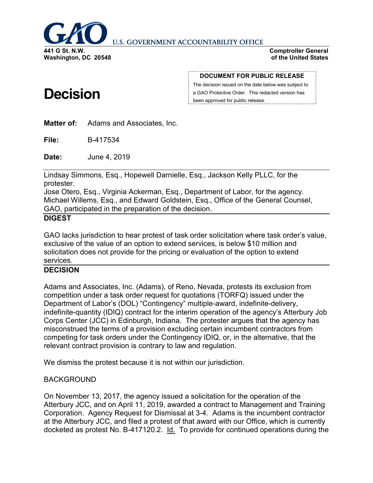

**U.S. GOVERNMENT ACCOUNTABILITY OFFICE** 

**Comptroller General of the United States**

# **Decision**

**DOCUMENT FOR PUBLIC RELEASE**

The decision issued on the date below was subject to a GAO Protective Order. This redacted version has been approved for public release.

**Matter of:** Adams and Associates, Inc.

**File:** B-417534

**Date:** June 4, 2019

Lindsay Simmons, Esq., Hopewell Darnielle, Esq., Jackson Kelly PLLC, for the protester.

Jose Otero, Esq., Virginia Ackerman, Esq., Department of Labor, for the agency. Michael Willems, Esq., and Edward Goldstein, Esq., Office of the General Counsel, GAO, participated in the preparation of the decision.

### **DIGEST**

GAO lacks jurisdiction to hear protest of task order solicitation where task order's value, exclusive of the value of an option to extend services, is below \$10 million and solicitation does not provide for the pricing or evaluation of the option to extend services.

## **DECISION**

Adams and Associates, Inc. (Adams), of Reno, Nevada, protests its exclusion from competition under a task order request for quotations (TORFQ) issued under the Department of Labor's (DOL) "Contingency" multiple-award, indefinite-delivery, indefinite-quantity (IDIQ) contract for the interim operation of the agency's Atterbury Job Corps Center (JCC) in Edinburgh, Indiana. The protester argues that the agency has misconstrued the terms of a provision excluding certain incumbent contractors from competing for task orders under the Contingency IDIQ, or, in the alternative, that the relevant contract provision is contrary to law and regulation.

We dismiss the protest because it is not within our jurisdiction.

## BACKGROUND

On November 13, 2017, the agency issued a solicitation for the operation of the Atterbury JCC, and on April 11, 2019, awarded a contract to Management and Training Corporation. Agency Request for Dismissal at 3-4. Adams is the incumbent contractor at the Atterbury JCC, and filed a protest of that award with our Office, which is currently docketed as protest No. B-417120.2. Id. To provide for continued operations during the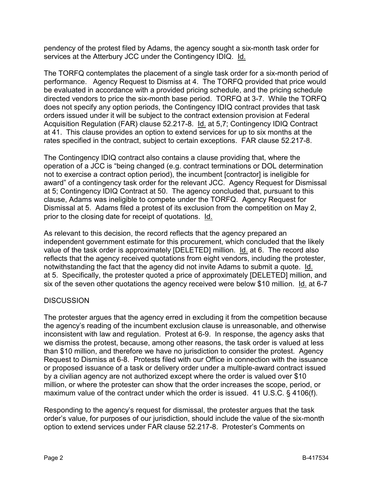pendency of the protest filed by Adams, the agency sought a six-month task order for services at the Atterbury JCC under the Contingency IDIQ. Id.

The TORFQ contemplates the placement of a single task order for a six-month period of performance. Agency Request to Dismiss at 4. The TORFQ provided that price would be evaluated in accordance with a provided pricing schedule, and the pricing schedule directed vendors to price the six-month base period. TORFQ at 3-7. While the TORFQ does not specify any option periods, the Contingency IDIQ contract provides that task orders issued under it will be subject to the contract extension provision at Federal Acquisition Regulation (FAR) clause 52.217-8. Id. at 5,7; Contingency IDIQ Contract at 41. This clause provides an option to extend services for up to six months at the rates specified in the contract, subject to certain exceptions. FAR clause 52.217-8.

The Contingency IDIQ contract also contains a clause providing that, where the operation of a JCC is "being changed (e.g. contract terminations or DOL determination not to exercise a contract option period), the incumbent [contractor] is ineligible for award" of a contingency task order for the relevant JCC. Agency Request for Dismissal at 5; Contingency IDIQ Contract at 50. The agency concluded that, pursuant to this clause, Adams was ineligible to compete under the TORFQ. Agency Request for Dismissal at 5. Adams filed a protest of its exclusion from the competition on May 2, prior to the closing date for receipt of quotations. Id.

As relevant to this decision, the record reflects that the agency prepared an independent government estimate for this procurement, which concluded that the likely value of the task order is approximately [DELETED] million. Id. at 6. The record also reflects that the agency received quotations from eight vendors, including the protester, notwithstanding the fact that the agency did not invite Adams to submit a quote. Id. at 5. Specifically, the protester quoted a price of approximately [DELETED] million, and six of the seven other quotations the agency received were below \$10 million. Id. at 6-7

## **DISCUSSION**

The protester argues that the agency erred in excluding it from the competition because the agency's reading of the incumbent exclusion clause is unreasonable, and otherwise inconsistent with law and regulation. Protest at 6-9. In response, the agency asks that we dismiss the protest, because, among other reasons, the task order is valued at less than \$10 million, and therefore we have no jurisdiction to consider the protest. Agency Request to Dismiss at 6-8. Protests filed with our Office in connection with the issuance or proposed issuance of a task or delivery order under a multiple-award contract issued by a civilian agency are not authorized except where the order is valued over \$10 million, or where the protester can show that the order increases the scope, period, or maximum value of the contract under which the order is issued. 41 U.S.C. § 4106(f).

Responding to the agency's request for dismissal, the protester argues that the task order's value, for purposes of our jurisdiction, should include the value of the six-month option to extend services under FAR clause 52.217-8. Protester's Comments on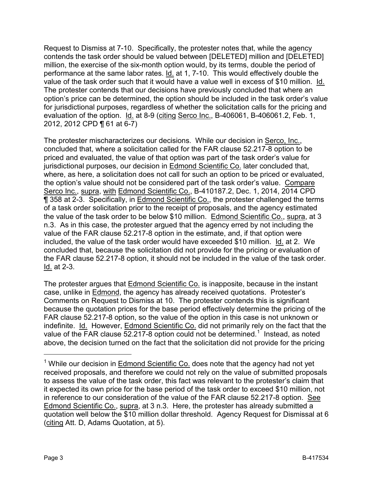Request to Dismiss at 7-10. Specifically, the protester notes that, while the agency contends the task order should be valued between [DELETED] million and [DELETED] million, the exercise of the six-month option would, by its terms, double the period of performance at the same labor rates. Id. at 1, 7-10. This would effectively double the value of the task order such that it would have a value well in excess of \$10 million. Id. The protester contends that our decisions have previously concluded that where an option's price can be determined, the option should be included in the task order's value for jurisdictional purposes, regardless of whether the solicitation calls for the pricing and evaluation of the option. Id. at 8-9 (citing Serco Inc., B-406061, B-406061.2, Feb. 1, 2012, 2012 CPD ¶ 61 at 6-7)

The protester mischaracterizes our decisions. While our decision in Serco, Inc., concluded that, where a solicitation called for the FAR clause 52.217-8 option to be priced and evaluated, the value of that option was part of the task order's value for jurisdictional purposes, our decision in Edmond Scientific Co. later concluded that, where, as here, a solicitation does not call for such an option to be priced or evaluated, the option's value should not be considered part of the task order's value. Compare Serco Inc., supra, with Edmond Scientific Co., B-410187.2, Dec. 1, 2014, 2014 CPD ¶ 358 at 2-3. Specifically, in Edmond Scientific Co., the protester challenged the terms of a task order solicitation prior to the receipt of proposals, and the agency estimated the value of the task order to be below \$10 million. Edmond Scientific Co., supra, at 3 n.3. As in this case, the protester argued that the agency erred by not including the value of the FAR clause 52.217-8 option in the estimate, and, if that option were included, the value of the task order would have exceeded \$10 million. Id. at 2. We concluded that, because the solicitation did not provide for the pricing or evaluation of the FAR clause 52.217-8 option, it should not be included in the value of the task order. Id. at 2-3.

The protester argues that Edmond Scientific Co. is inapposite, because in the instant case, unlike in Edmond, the agency has already received quotations. Protester's Comments on Request to Dismiss at 10. The protester contends this is significant because the quotation prices for the base period effectively determine the pricing of the FAR clause 52.217-8 option, so the value of the option in this case is not unknown or indefinite. Id. However, Edmond Scientific Co. did not primarily rely on the fact that the value of the FAR clause  $52.217-8$  $52.217-8$  $52.217-8$  option could not be determined.<sup>1</sup> Instead, as noted above, the decision turned on the fact that the solicitation did not provide for the pricing

<span id="page-2-0"></span><sup>&</sup>lt;sup>1</sup> While our decision in **Edmond Scientific Co.** does note that the agency had not yet received proposals, and therefore we could not rely on the value of submitted proposals to assess the value of the task order, this fact was relevant to the protester's claim that it expected its own price for the base period of the task order to exceed \$10 million, not in reference to our consideration of the value of the FAR clause 52.217-8 option. See Edmond Scientific Co., supra, at 3 n.3. Here, the protester has already submitted a quotation well below the \$10 million dollar threshold. Agency Request for Dismissal at 6 (citing Att. D, Adams Quotation, at 5).